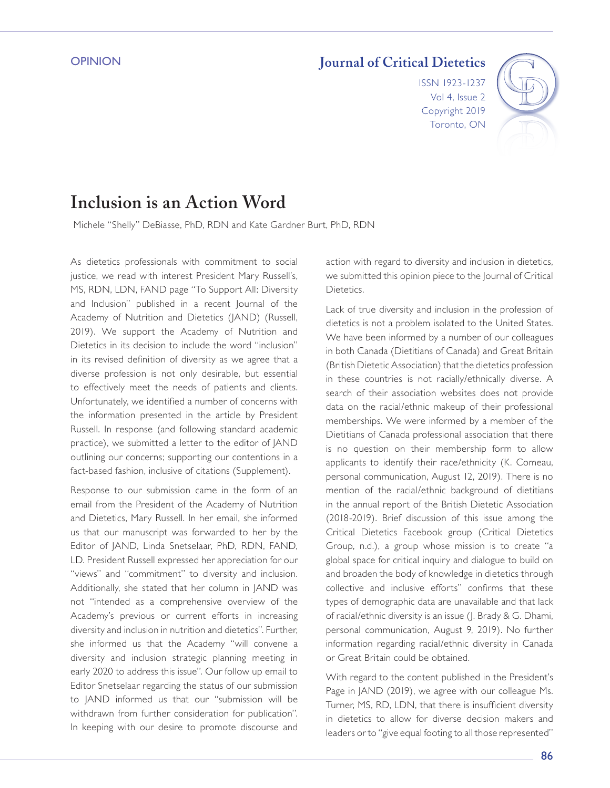### **OPINION**

# **Journal of Critical Dietetics**

ISSN 1923-1237 Vol 4, Issue 2 Copyright 2019 Toronto, ON



# **Inclusion is an Action Word**

Michele "Shelly" DeBiasse, PhD, RDN and Kate Gardner Burt, PhD, RDN

As dietetics professionals with commitment to social justice, we read with interest President Mary Russell's, MS, RDN, LDN, FAND page "To Support All: Diversity and Inclusion" published in a recent Journal of the Academy of Nutrition and Dietetics (JAND) (Russell, 2019). We support the Academy of Nutrition and Dietetics in its decision to include the word "inclusion" in its revised definition of diversity as we agree that a diverse profession is not only desirable, but essential to effectively meet the needs of patients and clients. Unfortunately, we identified a number of concerns with the information presented in the article by President Russell. In response (and following standard academic practice), we submitted a letter to the editor of JAND outlining our concerns; supporting our contentions in a fact-based fashion, inclusive of citations (Supplement).

Response to our submission came in the form of an email from the President of the Academy of Nutrition and Dietetics, Mary Russell. In her email, she informed us that our manuscript was forwarded to her by the Editor of JAND, Linda Snetselaar, PhD, RDN, FAND, LD. President Russell expressed her appreciation for our "views" and "commitment" to diversity and inclusion. Additionally, she stated that her column in JAND was not "intended as a comprehensive overview of the Academy's previous or current efforts in increasing diversity and inclusion in nutrition and dietetics". Further, she informed us that the Academy "will convene a diversity and inclusion strategic planning meeting in early 2020 to address this issue". Our follow up email to Editor Snetselaar regarding the status of our submission to JAND informed us that our "submission will be withdrawn from further consideration for publication". In keeping with our desire to promote discourse and action with regard to diversity and inclusion in dietetics, we submitted this opinion piece to the Journal of Critical Dietetics.

Lack of true diversity and inclusion in the profession of dietetics is not a problem isolated to the United States. We have been informed by a number of our colleagues in both Canada (Dietitians of Canada) and Great Britain (British Dietetic Association) that the dietetics profession in these countries is not racially/ethnically diverse. A search of their association websites does not provide data on the racial/ethnic makeup of their professional memberships. We were informed by a member of the Dietitians of Canada professional association that there is no question on their membership form to allow applicants to identify their race/ethnicity (K. Comeau, personal communication, August 12, 2019). There is no mention of the racial/ethnic background of dietitians in the annual report of the British Dietetic Association (2018-2019). Brief discussion of this issue among the Critical Dietetics Facebook group (Critical Dietetics Group, n.d.), a group whose mission is to create "a global space for critical inquiry and dialogue to build on and broaden the body of knowledge in dietetics through collective and inclusive efforts" confirms that these types of demographic data are unavailable and that lack of racial/ethnic diversity is an issue (J. Brady & G. Dhami, personal communication, August 9, 2019). No further information regarding racial/ethnic diversity in Canada or Great Britain could be obtained.

With regard to the content published in the President's Page in JAND (2019), we agree with our colleague Ms. Turner, MS, RD, LDN, that there is insufficient diversity in dietetics to allow for diverse decision makers and leaders or to "give equal footing to all those represented"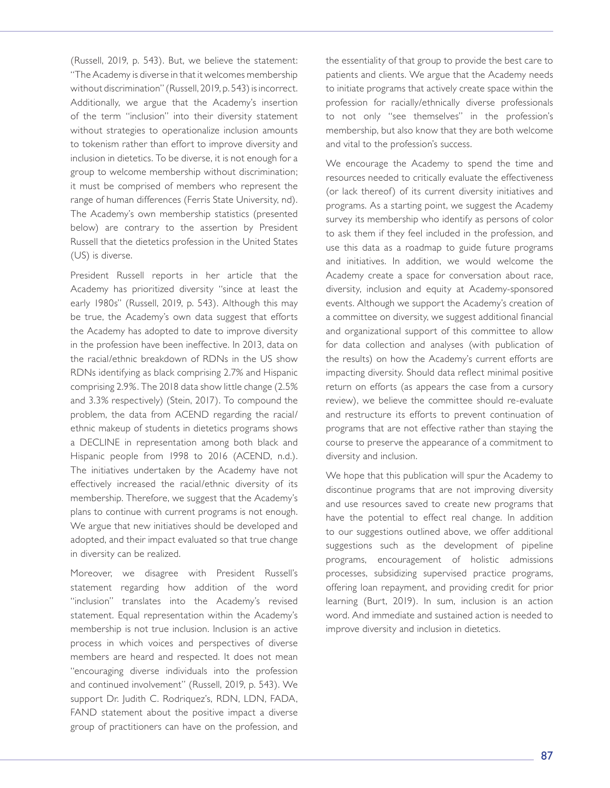(Russell, 2019, p. 543). But, we believe the statement: "The Academy is diverse in that it welcomes membership without discrimination" (Russell, 2019, p. 543) is incorrect. Additionally, we argue that the Academy's insertion of the term "inclusion" into their diversity statement without strategies to operationalize inclusion amounts to tokenism rather than effort to improve diversity and inclusion in dietetics. To be diverse, it is not enough for a group to welcome membership without discrimination; it must be comprised of members who represent the range of human differences (Ferris State University, nd). The Academy's own membership statistics (presented below) are contrary to the assertion by President Russell that the dietetics profession in the United States (US) is diverse.

President Russell reports in her article that the Academy has prioritized diversity "since at least the early 1980s" (Russell, 2019, p. 543). Although this may be true, the Academy's own data suggest that efforts the Academy has adopted to date to improve diversity in the profession have been ineffective. In 2013, data on the racial/ethnic breakdown of RDNs in the US show RDNs identifying as black comprising 2.7% and Hispanic comprising 2.9%. The 2018 data show little change (2.5% and 3.3% respectively) (Stein, 2017). To compound the problem, the data from ACEND regarding the racial/ ethnic makeup of students in dietetics programs shows a DECLINE in representation among both black and Hispanic people from 1998 to 2016 (ACEND, n.d.). The initiatives undertaken by the Academy have not effectively increased the racial/ethnic diversity of its membership. Therefore, we suggest that the Academy's plans to continue with current programs is not enough. We argue that new initiatives should be developed and adopted, and their impact evaluated so that true change in diversity can be realized.

Moreover, we disagree with President Russell's statement regarding how addition of the word "inclusion" translates into the Academy's revised statement. Equal representation within the Academy's membership is not true inclusion. Inclusion is an active process in which voices and perspectives of diverse members are heard and respected. It does not mean "encouraging diverse individuals into the profession and continued involvement" (Russell, 2019, p. 543). We support Dr. Judith C. Rodriquez's, RDN, LDN, FADA, FAND statement about the positive impact a diverse group of practitioners can have on the profession, and

the essentiality of that group to provide the best care to patients and clients. We argue that the Academy needs to initiate programs that actively create space within the profession for racially/ethnically diverse professionals to not only "see themselves" in the profession's membership, but also know that they are both welcome and vital to the profession's success.

We encourage the Academy to spend the time and resources needed to critically evaluate the effectiveness (or lack thereof) of its current diversity initiatives and programs. As a starting point, we suggest the Academy survey its membership who identify as persons of color to ask them if they feel included in the profession, and use this data as a roadmap to guide future programs and initiatives. In addition, we would welcome the Academy create a space for conversation about race, diversity, inclusion and equity at Academy-sponsored events. Although we support the Academy's creation of a committee on diversity, we suggest additional financial and organizational support of this committee to allow for data collection and analyses (with publication of the results) on how the Academy's current efforts are impacting diversity. Should data reflect minimal positive return on efforts (as appears the case from a cursory review), we believe the committee should re-evaluate and restructure its efforts to prevent continuation of programs that are not effective rather than staying the course to preserve the appearance of a commitment to diversity and inclusion.

We hope that this publication will spur the Academy to discontinue programs that are not improving diversity and use resources saved to create new programs that have the potential to effect real change. In addition to our suggestions outlined above, we offer additional suggestions such as the development of pipeline programs, encouragement of holistic admissions processes, subsidizing supervised practice programs, offering loan repayment, and providing credit for prior learning (Burt, 2019). In sum, inclusion is an action word. And immediate and sustained action is needed to improve diversity and inclusion in dietetics.